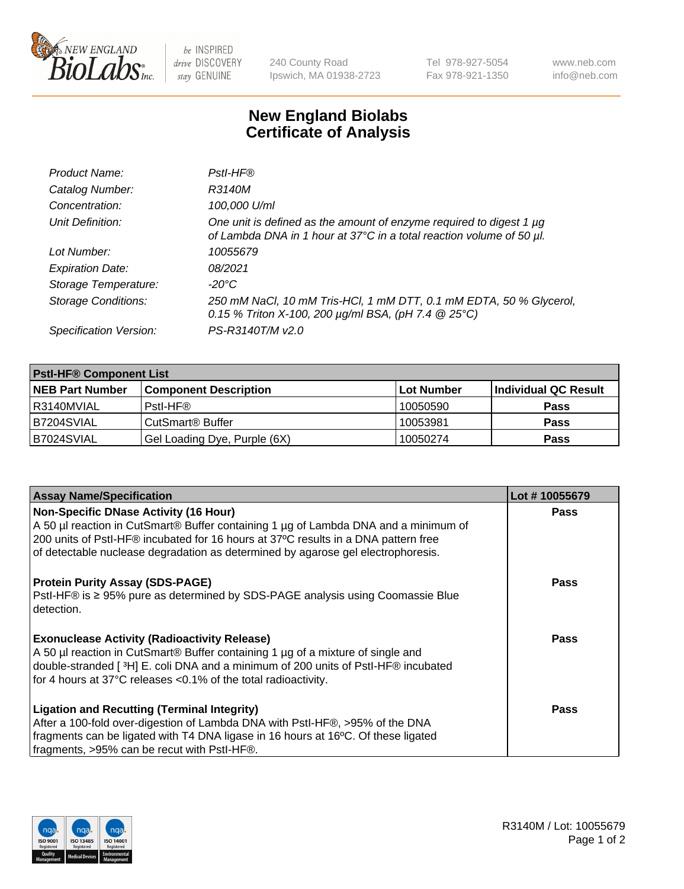

 $be$  INSPIRED drive DISCOVERY stay GENUINE

240 County Road Ipswich, MA 01938-2723 Tel 978-927-5054 Fax 978-921-1350 www.neb.com info@neb.com

## **New England Biolabs Certificate of Analysis**

| Product Name:              | Pstl-HF®                                                                                                                                             |
|----------------------------|------------------------------------------------------------------------------------------------------------------------------------------------------|
| Catalog Number:            | R3140M                                                                                                                                               |
| Concentration:             | 100,000 U/ml                                                                                                                                         |
| Unit Definition:           | One unit is defined as the amount of enzyme required to digest 1 µg<br>of Lambda DNA in 1 hour at 37°C in a total reaction volume of 50 µl.          |
| Lot Number:                | 10055679                                                                                                                                             |
| <b>Expiration Date:</b>    | 08/2021                                                                                                                                              |
| Storage Temperature:       | -20°C                                                                                                                                                |
| <b>Storage Conditions:</b> | 250 mM NaCl, 10 mM Tris-HCl, 1 mM DTT, 0.1 mM EDTA, 50 % Glycerol,<br>0.15 % Triton X-100, 200 $\mu$ g/ml BSA, (pH 7.4 $\textcircled{25}^{\circ}$ C) |
| Specification Version:     | PS-R3140T/M v2.0                                                                                                                                     |

| <b>PstI-HF® Component List</b> |                              |            |                      |  |
|--------------------------------|------------------------------|------------|----------------------|--|
| <b>NEB Part Number</b>         | <b>Component Description</b> | Lot Number | Individual QC Result |  |
| I R3140MVIAL                   | Pstl-HF®                     | 10050590   | <b>Pass</b>          |  |
| IB7204SVIAL                    | CutSmart <sup>®</sup> Buffer | 10053981   | <b>Pass</b>          |  |
| B7024SVIAL                     | Gel Loading Dye, Purple (6X) | 10050274   | <b>Pass</b>          |  |

| <b>Assay Name/Specification</b>                                                     | Lot #10055679 |
|-------------------------------------------------------------------------------------|---------------|
| <b>Non-Specific DNase Activity (16 Hour)</b>                                        | <b>Pass</b>   |
| A 50 µl reaction in CutSmart® Buffer containing 1 µg of Lambda DNA and a minimum of |               |
| 200 units of Pstl-HF® incubated for 16 hours at 37°C results in a DNA pattern free  |               |
| of detectable nuclease degradation as determined by agarose gel electrophoresis.    |               |
| <b>Protein Purity Assay (SDS-PAGE)</b>                                              | <b>Pass</b>   |
| Pstl-HF® is ≥ 95% pure as determined by SDS-PAGE analysis using Coomassie Blue      |               |
| detection.                                                                          |               |
|                                                                                     |               |
| <b>Exonuclease Activity (Radioactivity Release)</b>                                 | Pass          |
| A 50 µl reaction in CutSmart® Buffer containing 1 µg of a mixture of single and     |               |
| double-stranded [3H] E. coli DNA and a minimum of 200 units of Pstl-HF® incubated   |               |
| for 4 hours at 37°C releases <0.1% of the total radioactivity.                      |               |
| <b>Ligation and Recutting (Terminal Integrity)</b>                                  | Pass          |
|                                                                                     |               |
| After a 100-fold over-digestion of Lambda DNA with PstI-HF®, >95% of the DNA        |               |
| fragments can be ligated with T4 DNA ligase in 16 hours at 16°C. Of these ligated   |               |
| fragments, >95% can be recut with Pstl-HF®.                                         |               |